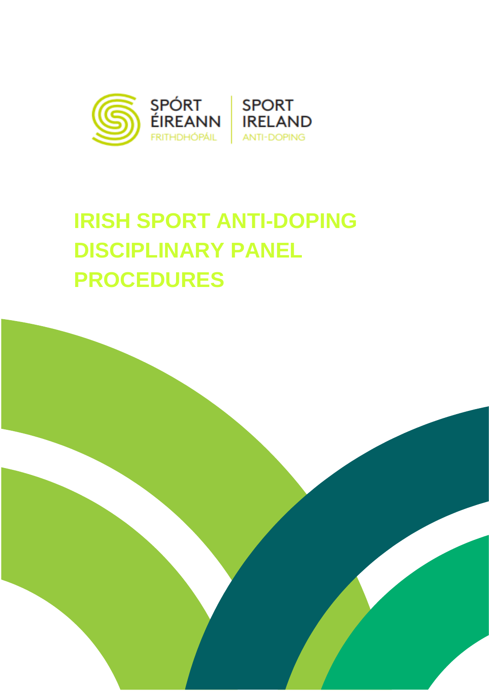

# **IRISH SPORT ANTI-DOPING DISCIPLINARY PANEL PROCEDURES**

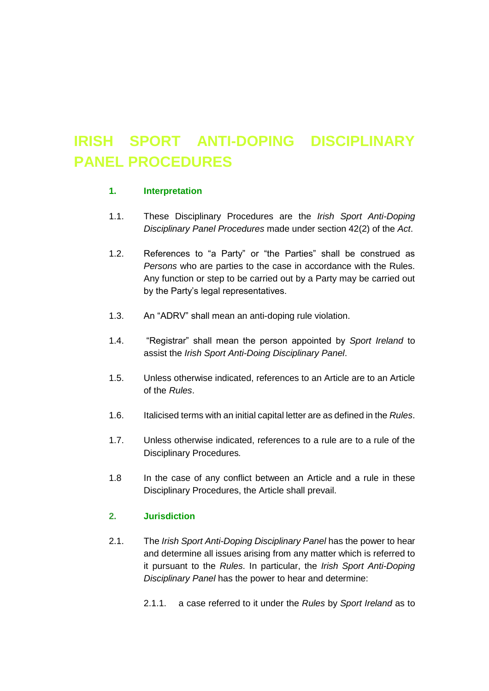# **IRISH SPORT ANTI-DOPING DISCIPLINARY PANEL PROCEDURES**

#### **1. Interpretation**

- 1.1. These Disciplinary Procedures are the *Irish Sport Anti-Doping Disciplinary Panel Procedures* made under section 42(2) of the *Act*.
- 1.2. References to "a Party" or "the Parties" shall be construed as *Persons* who are parties to the case in accordance with the Rules. Any function or step to be carried out by a Party may be carried out by the Party's legal representatives.
- 1.3. An "ADRV" shall mean an anti-doping rule violation.
- 1.4. "Registrar" shall mean the person appointed by *Sport Ireland* to assist the *Irish Sport Anti-Doing Disciplinary Panel*.
- 1.5. Unless otherwise indicated, references to an Article are to an Article of the *Rules*.
- 1.6. Italicised terms with an initial capital letter are as defined in the *Rules*.
- 1.7. Unless otherwise indicated, references to a rule are to a rule of the Disciplinary Procedures*.*
- 1.8 In the case of any conflict between an Article and a rule in these Disciplinary Procedures, the Article shall prevail.

# **2. Jurisdiction**

- 2.1. The *Irish Sport Anti-Doping Disciplinary Panel* has the power to hear and determine all issues arising from any matter which is referred to it pursuant to the *Rules*. In particular, the *Irish Sport Anti-Doping Disciplinary Panel* has the power to hear and determine:
	- 2.1.1. a case referred to it under the *Rules* by *Sport Ireland* as to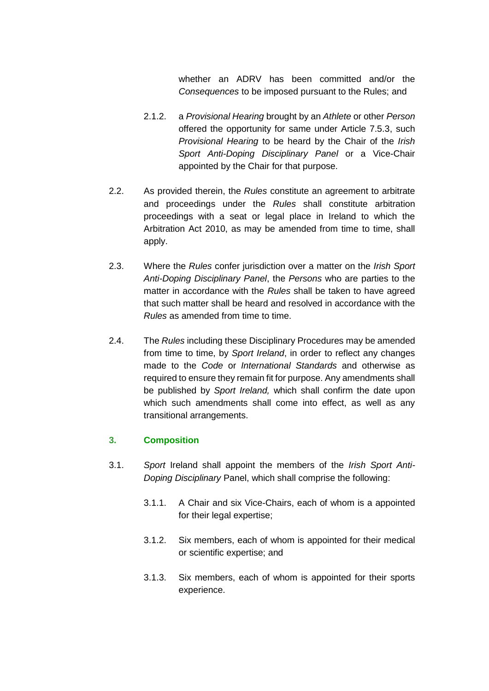whether an ADRV has been committed and/or the *Consequences* to be imposed pursuant to the Rules; and

- 2.1.2. a *Provisional Hearing* brought by an *Athlete* or other *Person*  offered the opportunity for same under Article 7.5.3, such *Provisional Hearing* to be heard by the Chair of the *Irish Sport Anti-Doping Disciplinary Panel* or a Vice-Chair appointed by the Chair for that purpose.
- 2.2. As provided therein, the *Rules* constitute an agreement to arbitrate and proceedings under the *Rules* shall constitute arbitration proceedings with a seat or legal place in Ireland to which the Arbitration Act 2010, as may be amended from time to time, shall apply.
- 2.3. Where the *Rules* confer jurisdiction over a matter on the *Irish Sport Anti-Doping Disciplinary Panel*, the *Persons* who are parties to the matter in accordance with the *Rules* shall be taken to have agreed that such matter shall be heard and resolved in accordance with the *Rules* as amended from time to time.
- 2.4. The *Rules* including these Disciplinary Procedures may be amended from time to time, by *Sport Ireland*, in order to reflect any changes made to the *Code* or *International Standards* and otherwise as required to ensure they remain fit for purpose. Any amendments shall be published by *Sport Ireland,* which shall confirm the date upon which such amendments shall come into effect, as well as any transitional arrangements.

# **3. Composition**

- 3.1. *Sport* Ireland shall appoint the members of the *Irish Sport Anti-Doping Disciplinary* Panel, which shall comprise the following:
	- 3.1.1. A Chair and six Vice-Chairs, each of whom is a appointed for their legal expertise;
	- 3.1.2. Six members, each of whom is appointed for their medical or scientific expertise; and
	- 3.1.3. Six members, each of whom is appointed for their sports experience.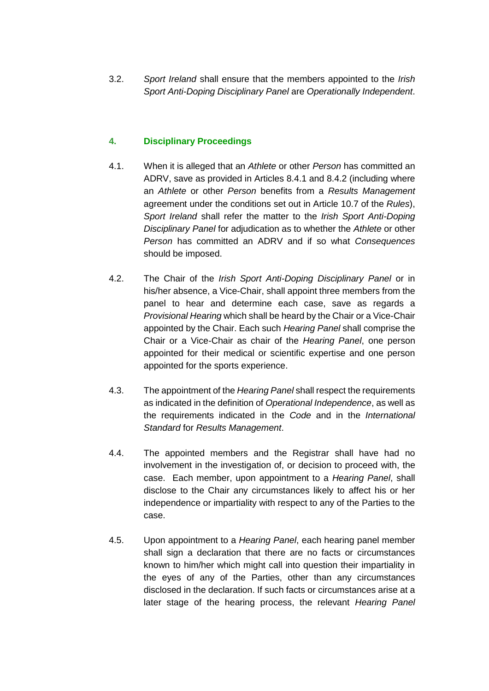3.2. *Sport Ireland* shall ensure that the members appointed to the *Irish Sport Anti-Doping Disciplinary Panel* are *Operationally Independent*.

# **4. Disciplinary Proceedings**

- 4.1. When it is alleged that an *Athlete* or other *Person* has committed an ADRV, save as provided in Articles 8.4.1 and 8.4.2 (including where an *Athlete* or other *Person* benefits from a *Results Management* agreement under the conditions set out in Article 10.7 of the *Rules*), *Sport Ireland* shall refer the matter to the *Irish Sport Anti-Doping Disciplinary Panel* for adjudication as to whether the *Athlete* or other *Person* has committed an ADRV and if so what *Consequences*  should be imposed.
- 4.2. The Chair of the *Irish Sport Anti-Doping Disciplinary Panel* or in his/her absence, a Vice-Chair, shall appoint three members from the panel to hear and determine each case, save as regards a *Provisional Hearing* which shall be heard by the Chair or a Vice-Chair appointed by the Chair. Each such *Hearing Panel* shall comprise the Chair or a Vice-Chair as chair of the *Hearing Panel*, one person appointed for their medical or scientific expertise and one person appointed for the sports experience.
- 4.3. The appointment of the *Hearing Panel* shall respect the requirements as indicated in the definition of *Operational Independence*, as well as the requirements indicated in the *Code* and in the *International Standard* for *Results Management*.
- 4.4. The appointed members and the Registrar shall have had no involvement in the investigation of, or decision to proceed with, the case. Each member, upon appointment to a *Hearing Panel*, shall disclose to the Chair any circumstances likely to affect his or her independence or impartiality with respect to any of the Parties to the case.
- 4.5. Upon appointment to a *Hearing Panel*, each hearing panel member shall sign a declaration that there are no facts or circumstances known to him/her which might call into question their impartiality in the eyes of any of the Parties, other than any circumstances disclosed in the declaration. If such facts or circumstances arise at a later stage of the hearing process, the relevant *Hearing Panel*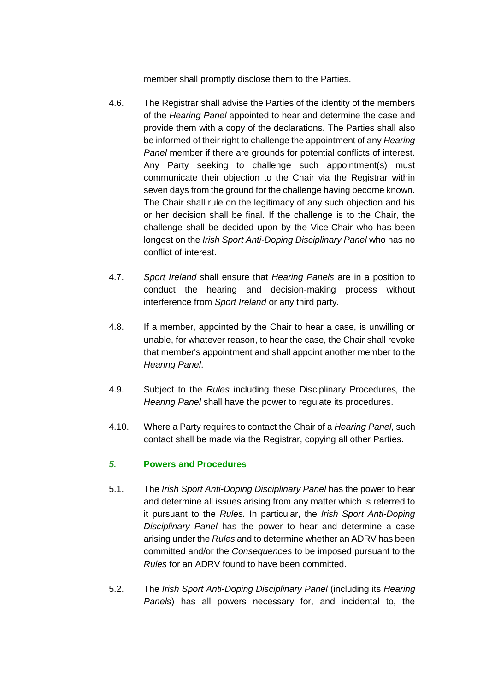member shall promptly disclose them to the Parties.

- 4.6. The Registrar shall advise the Parties of the identity of the members of the *Hearing Panel* appointed to hear and determine the case and provide them with a copy of the declarations. The Parties shall also be informed of their right to challenge the appointment of any *Hearing Panel* member if there are grounds for potential conflicts of interest. Any Party seeking to challenge such appointment(s) must communicate their objection to the Chair via the Registrar within seven days from the ground for the challenge having become known. The Chair shall rule on the legitimacy of any such objection and his or her decision shall be final. If the challenge is to the Chair, the challenge shall be decided upon by the Vice-Chair who has been longest on the *Irish Sport Anti-Doping Disciplinary Panel* who has no conflict of interest.
- 4.7. *Sport Ireland* shall ensure that *Hearing Panels* are in a position to conduct the hearing and decision-making process without interference from *Sport Ireland* or any third party.
- 4.8. If a member, appointed by the Chair to hear a case, is unwilling or unable, for whatever reason, to hear the case, the Chair shall revoke that member's appointment and shall appoint another member to the *Hearing Panel*.
- 4.9. Subject to the *Rules* including these Disciplinary Procedures*,* the *Hearing Panel* shall have the power to regulate its procedures.
- 4.10. Where a Party requires to contact the Chair of a *Hearing Panel*, such contact shall be made via the Registrar, copying all other Parties.

# *5.* **Powers and Procedures**

- 5.1. The *Irish Sport Anti-Doping Disciplinary Panel* has the power to hear and determine all issues arising from any matter which is referred to it pursuant to the *Rules.* In particular, the *Irish Sport Anti-Doping Disciplinary Panel* has the power to hear and determine a case arising under the *Rules* and to determine whether an ADRV has been committed and/or the *Consequences* to be imposed pursuant to the *Rules* for an ADRV found to have been committed.
- 5.2. The *Irish Sport Anti-Doping Disciplinary Panel* (including its *Hearing Panel*s) has all powers necessary for, and incidental to, the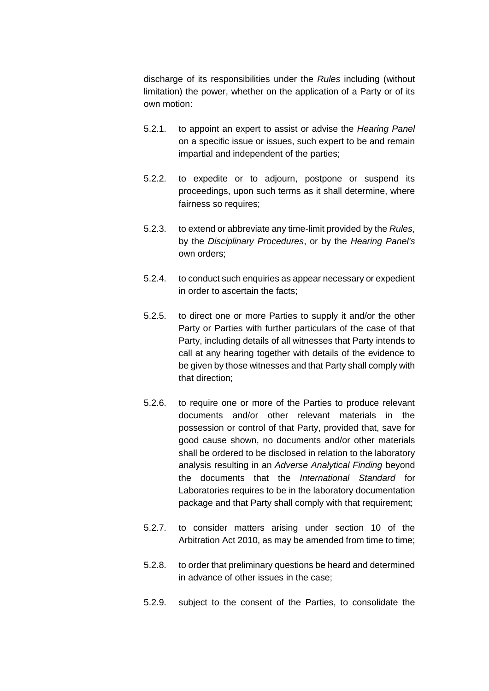discharge of its responsibilities under the *Rules* including (without limitation) the power, whether on the application of a Party or of its own motion:

- 5.2.1. to appoint an expert to assist or advise the *Hearing Panel* on a specific issue or issues, such expert to be and remain impartial and independent of the parties;
- 5.2.2. to expedite or to adjourn, postpone or suspend its proceedings, upon such terms as it shall determine, where fairness so requires;
- 5.2.3. to extend or abbreviate any time-limit provided by the *Rules*, by the *Disciplinary Procedures*, or by the *Hearing Panel's* own orders;
- 5.2.4. to conduct such enquiries as appear necessary or expedient in order to ascertain the facts;
- 5.2.5. to direct one or more Parties to supply it and/or the other Party or Parties with further particulars of the case of that Party, including details of all witnesses that Party intends to call at any hearing together with details of the evidence to be given by those witnesses and that Party shall comply with that direction;
- 5.2.6. to require one or more of the Parties to produce relevant documents and/or other relevant materials in the possession or control of that Party, provided that, save for good cause shown, no documents and/or other materials shall be ordered to be disclosed in relation to the laboratory analysis resulting in an *Adverse Analytical Finding* beyond the documents that the *International Standard* for Laboratories requires to be in the laboratory documentation package and that Party shall comply with that requirement;
- 5.2.7. to consider matters arising under section 10 of the Arbitration Act 2010, as may be amended from time to time;
- 5.2.8. to order that preliminary questions be heard and determined in advance of other issues in the case;
- 5.2.9. subject to the consent of the Parties, to consolidate the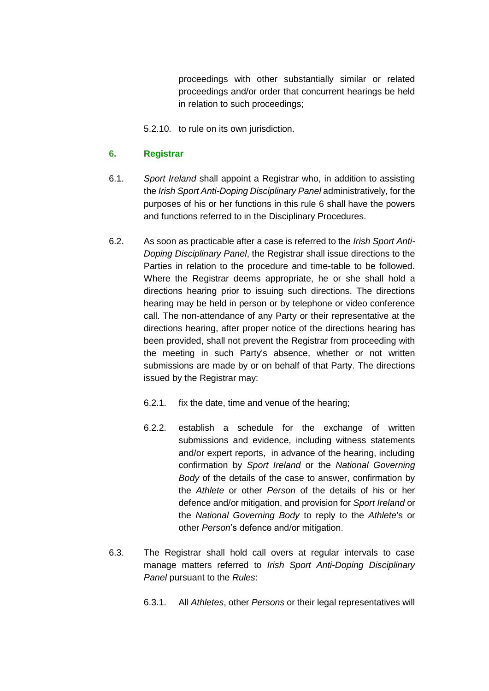proceedings with other substantially similar or related proceedings and/or order that concurrent hearings be held in relation to such proceedings;

5.2.10. to rule on its own jurisdiction.

#### **6. Registrar**

- 6.1. *Sport Ireland* shall appoint a Registrar who, in addition to assisting the *Irish Sport Anti-Doping Disciplinary Panel* administratively, for the purposes of his or her functions in this rule 6 shall have the powers and functions referred to in the Disciplinary Procedures.
- 6.2. As soon as practicable after a case is referred to the *Irish Sport Anti-Doping Disciplinary Panel*, the Registrar shall issue directions to the Parties in relation to the procedure and time-table to be followed. Where the Registrar deems appropriate, he or she shall hold a directions hearing prior to issuing such directions. The directions hearing may be held in person or by telephone or video conference call. The non-attendance of any Party or their representative at the directions hearing, after proper notice of the directions hearing has been provided, shall not prevent the Registrar from proceeding with the meeting in such Party's absence, whether or not written submissions are made by or on behalf of that Party. The directions issued by the Registrar may:
	- 6.2.1. fix the date, time and venue of the hearing;
	- 6.2.2. establish a schedule for the exchange of written submissions and evidence, including witness statements and/or expert reports, in advance of the hearing, including confirmation by *Sport Ireland* or the *National Governing Body* of the details of the case to answer, confirmation by the *Athlete* or other *Person* of the details of his or her defence and/or mitigation, and provision for *Sport Ireland* or the *National Governing Body* to reply to the *Athlete*'s or other *Person*'s defence and/or mitigation.
- 6.3. The Registrar shall hold call overs at regular intervals to case manage matters referred to *Irish Sport Anti-Doping Disciplinary Panel* pursuant to the *Rules*:
	- 6.3.1. All *Athletes*, other *Persons* or their legal representatives will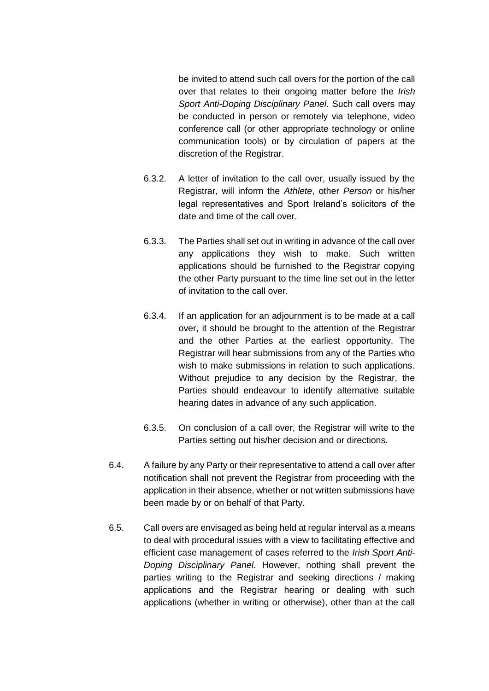be invited to attend such call overs for the portion of the call over that relates to their ongoing matter before the *Irish Sport Anti-Doping Disciplinary Panel*. Such call overs may be conducted in person or remotely via telephone, video conference call (or other appropriate technology or online communication tools) or by circulation of papers at the discretion of the Registrar.

- 6.3.2. A letter of invitation to the call over, usually issued by the Registrar, will inform the *Athlete*, other *Person* or his/her legal representatives and Sport Ireland's solicitors of the date and time of the call over.
- 6.3.3. The Parties shall set out in writing in advance of the call over any applications they wish to make. Such written applications should be furnished to the Registrar copying the other Party pursuant to the time line set out in the letter of invitation to the call over.
- 6.3.4. If an application for an adjournment is to be made at a call over, it should be brought to the attention of the Registrar and the other Parties at the earliest opportunity. The Registrar will hear submissions from any of the Parties who wish to make submissions in relation to such applications. Without prejudice to any decision by the Registrar, the Parties should endeavour to identify alternative suitable hearing dates in advance of any such application.
- 6.3.5. On conclusion of a call over, the Registrar will write to the Parties setting out his/her decision and or directions.
- 6.4. A failure by any Party or their representative to attend a call over after notification shall not prevent the Registrar from proceeding with the application in their absence, whether or not written submissions have been made by or on behalf of that Party.
- 6.5. Call overs are envisaged as being held at regular interval as a means to deal with procedural issues with a view to facilitating effective and efficient case management of cases referred to the *Irish Sport Anti-Doping Disciplinary Panel*. However, nothing shall prevent the parties writing to the Registrar and seeking directions / making applications and the Registrar hearing or dealing with such applications (whether in writing or otherwise), other than at the call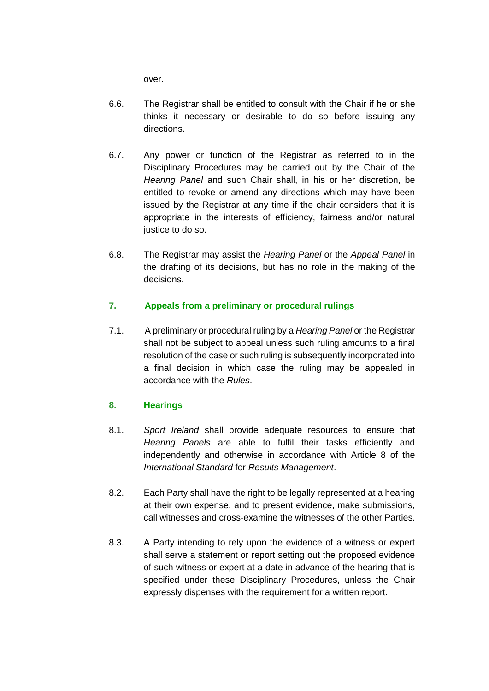over.

- 6.6. The Registrar shall be entitled to consult with the Chair if he or she thinks it necessary or desirable to do so before issuing any directions.
- 6.7. Any power or function of the Registrar as referred to in the Disciplinary Procedures may be carried out by the Chair of the *Hearing Panel* and such Chair shall, in his or her discretion, be entitled to revoke or amend any directions which may have been issued by the Registrar at any time if the chair considers that it is appropriate in the interests of efficiency, fairness and/or natural justice to do so.
- 6.8. The Registrar may assist the *Hearing Panel* or the *Appeal Panel* in the drafting of its decisions, but has no role in the making of the decisions.

# **7. Appeals from a preliminary or procedural rulings**

7.1. A preliminary or procedural ruling by a *Hearing Panel* or the Registrar shall not be subject to appeal unless such ruling amounts to a final resolution of the case or such ruling is subsequently incorporated into a final decision in which case the ruling may be appealed in accordance with the *Rules*.

# **8. Hearings**

- 8.1. *Sport Ireland* shall provide adequate resources to ensure that *Hearing Panels* are able to fulfil their tasks efficiently and independently and otherwise in accordance with Article 8 of the *International Standard* for *Results Management*.
- 8.2. Each Party shall have the right to be legally represented at a hearing at their own expense, and to present evidence, make submissions, call witnesses and cross-examine the witnesses of the other Parties.
- 8.3. A Party intending to rely upon the evidence of a witness or expert shall serve a statement or report setting out the proposed evidence of such witness or expert at a date in advance of the hearing that is specified under these Disciplinary Procedures, unless the Chair expressly dispenses with the requirement for a written report.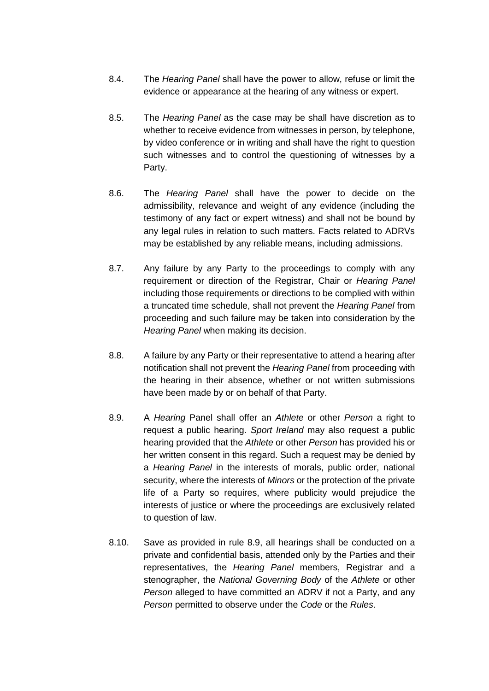- 8.4. The *Hearing Panel* shall have the power to allow, refuse or limit the evidence or appearance at the hearing of any witness or expert.
- 8.5. The *Hearing Panel* as the case may be shall have discretion as to whether to receive evidence from witnesses in person, by telephone, by video conference or in writing and shall have the right to question such witnesses and to control the questioning of witnesses by a Party.
- 8.6. The *Hearing Panel* shall have the power to decide on the admissibility, relevance and weight of any evidence (including the testimony of any fact or expert witness) and shall not be bound by any legal rules in relation to such matters. Facts related to ADRVs may be established by any reliable means, including admissions.
- 8.7. Any failure by any Party to the proceedings to comply with any requirement or direction of the Registrar, Chair or *Hearing Panel* including those requirements or directions to be complied with within a truncated time schedule, shall not prevent the *Hearing Panel* from proceeding and such failure may be taken into consideration by the *Hearing Panel* when making its decision.
- 8.8. A failure by any Party or their representative to attend a hearing after notification shall not prevent the *Hearing Panel* from proceeding with the hearing in their absence, whether or not written submissions have been made by or on behalf of that Party.
- 8.9. A *Hearing* Panel shall offer an *Athlete* or other *Person* a right to request a public hearing. *Sport Ireland* may also request a public hearing provided that the *Athlete* or other *Person* has provided his or her written consent in this regard. Such a request may be denied by a *Hearing Panel* in the interests of morals, public order, national security, where the interests of *Minors* or the protection of the private life of a Party so requires, where publicity would prejudice the interests of justice or where the proceedings are exclusively related to question of law.
- 8.10. Save as provided in rule 8.9, all hearings shall be conducted on a private and confidential basis, attended only by the Parties and their representatives, the *Hearing Panel* members, Registrar and a stenographer, the *National Governing Body* of the *Athlete* or other *Person* alleged to have committed an ADRV if not a Party, and any *Person* permitted to observe under the *Code* or the *Rules*.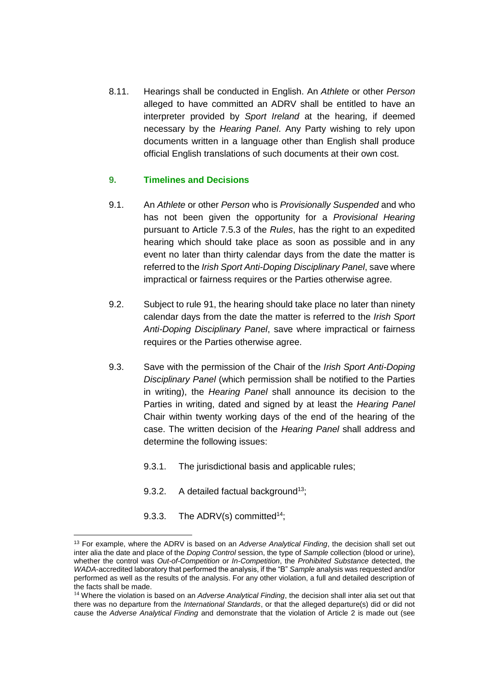8.11. Hearings shall be conducted in English. An *Athlete* or other *Person* alleged to have committed an ADRV shall be entitled to have an interpreter provided by *Sport Ireland* at the hearing, if deemed necessary by the *Hearing Panel*. Any Party wishing to rely upon documents written in a language other than English shall produce official English translations of such documents at their own cost.

#### **9. Timelines and Decisions**

- 9.1. An *Athlete* or other *Person* who is *Provisionally Suspended* and who has not been given the opportunity for a *Provisional Hearing*  pursuant to Article 7.5.3 of the *Rules*, has the right to an expedited hearing which should take place as soon as possible and in any event no later than thirty calendar days from the date the matter is referred to the *Irish Sport Anti-Doping Disciplinary Panel*, save where impractical or fairness requires or the Parties otherwise agree.
- 9.2. Subject to rule 91, the hearing should take place no later than ninety calendar days from the date the matter is referred to the *Irish Sport Anti-Doping Disciplinary Panel*, save where impractical or fairness requires or the Parties otherwise agree.
- 9.3. Save with the permission of the Chair of the *Irish Sport Anti-Doping Disciplinary Panel* (which permission shall be notified to the Parties in writing), the *Hearing Panel* shall announce its decision to the Parties in writing, dated and signed by at least the *Hearing Panel* Chair within twenty working days of the end of the hearing of the case. The written decision of the *Hearing Panel* shall address and determine the following issues:
	- 9.3.1. The jurisdictional basis and applicable rules;
	- 9.3.2. A detailed factual background<sup>13</sup>;
	- 9.3.3. The ADRV(s) committed<sup>14</sup>:

<u>.</u>

<sup>13</sup> For example, where the ADRV is based on an *Adverse Analytical Finding*, the decision shall set out inter alia the date and place of the *Doping Control* session, the type of *Sample* collection (blood or urine), whether the control was *Out-of-Competition* or *In-Competition*, the *Prohibited Substance* detected, the *WADA*-accredited laboratory that performed the analysis, if the "B" *Sample* analysis was requested and/or performed as well as the results of the analysis. For any other violation, a full and detailed description of the facts shall be made.

<sup>14</sup> Where the violation is based on an *Adverse Analytical Finding*, the decision shall inter alia set out that there was no departure from the *International Standards*, or that the alleged departure(s) did or did not cause the *Adverse Analytical Finding* and demonstrate that the violation of Article 2 is made out (see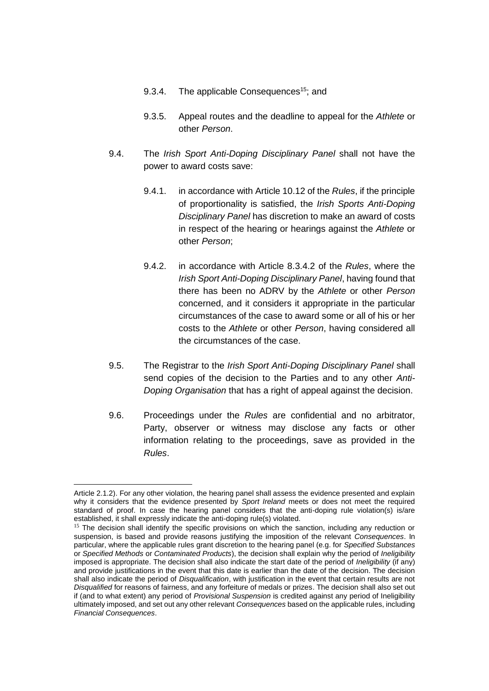- 9.3.4. The applicable Consequences<sup>15</sup>; and
- 9.3.5. Appeal routes and the deadline to appeal for the *Athlete* or other *Person*.
- 9.4. The *Irish Sport Anti-Doping Disciplinary Panel* shall not have the power to award costs save:
	- 9.4.1. in accordance with Article 10.12 of the *Rules*, if the principle of proportionality is satisfied, the *Irish Sports Anti-Doping Disciplinary Panel* has discretion to make an award of costs in respect of the hearing or hearings against the *Athlete* or other *Person*;
	- 9.4.2. in accordance with Article 8.3.4.2 of the *Rules*, where the *Irish Sport Anti-Doping Disciplinary Panel*, having found that there has been no ADRV by the *Athlete* or other *Person* concerned, and it considers it appropriate in the particular circumstances of the case to award some or all of his or her costs to the *Athlete* or other *Person*, having considered all the circumstances of the case.
- 9.5. The Registrar to the *Irish Sport Anti-Doping Disciplinary Panel* shall send copies of the decision to the Parties and to any other *Anti-Doping Organisation* that has a right of appeal against the decision.
- 9.6. Proceedings under the *Rules* are confidential and no arbitrator, Party, observer or witness may disclose any facts or other information relating to the proceedings, save as provided in the *Rules*.

1

Article 2.1.2). For any other violation, the hearing panel shall assess the evidence presented and explain why it considers that the evidence presented by *Sport Ireland* meets or does not meet the required standard of proof. In case the hearing panel considers that the anti-doping rule violation(s) is/are established, it shall expressly indicate the anti-doping rule(s) violated.

<sup>&</sup>lt;sup>15</sup> The decision shall identify the specific provisions on which the sanction, including any reduction or suspension, is based and provide reasons justifying the imposition of the relevant *Consequences*. In particular, where the applicable rules grant discretion to the hearing panel (e.g. for *Specified Substances* or *Specified Methods* or *Contaminated Products*), the decision shall explain why the period of *Ineligibility* imposed is appropriate. The decision shall also indicate the start date of the period of *Ineligibility* (if any) and provide justifications in the event that this date is earlier than the date of the decision. The decision shall also indicate the period of *Disqualification*, with justification in the event that certain results are not *Disqualified* for reasons of fairness, and any forfeiture of medals or prizes. The decision shall also set out if (and to what extent) any period of *Provisional Suspension* is credited against any period of Ineligibility ultimately imposed, and set out any other relevant *Consequences* based on the applicable rules, including *Financial Consequences*.